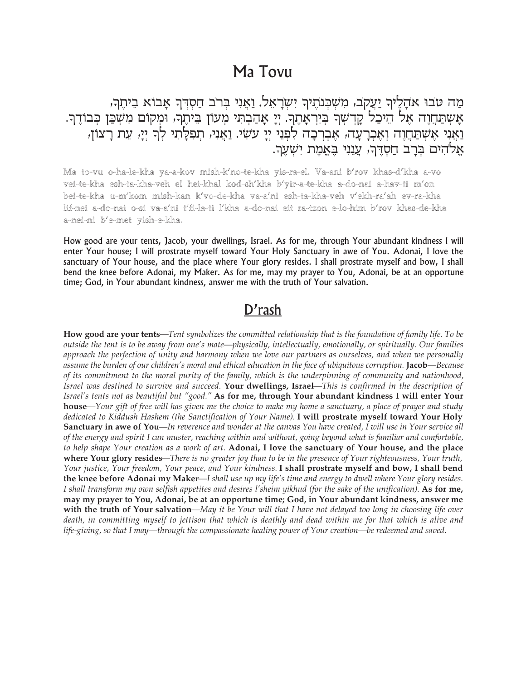## Ma Tovu

מַה טבו אִהָלֶיךְ יַעֲקֹב, מִשְׁבְּנֹתֶיךְ יִשְׂרָאֵל. וַאֲנִי בְּרֹב חַסְדְּךָ אָבוֹא בִיתֶךְ, אַשְתַּחֲוֶה אֶל הֵיכַל קָדְשְׁךְ בְּיִרְאָהֶךְ. יְיָ אָהַבְהִי מְעוֹן בֵּיהֶךְ, וּמְקוֹם מִשְׁכַּן כְּבוֹדֶךְ.<br>וַאֲנִי אֶשְתַּחֲוֶה וְאֶכְרָעָה, אֶבְרְכָה לִפְנֵי יְיָ עִשִׂי. וַאֲנִי, תְפִלָּתִי לְךָ יְיָ, עֵת רָצוֹן, אלהים ברב חסדר, ענני באמת ישער.

Ma to-vu o-ha-le-kha ya-a-kov mish-k'no-te-kha yis-ra-el. Va-ani b'rov khas-d'kha a-vo vei-te-kha esh-ta-kha-veh el hei-khal kod-sh'kha b'yir-a-te-kha a-do-nai a-hav-ti m'on bei-te-kha u-m′kom mish-kan k′vo-de-kha va-a'ni esh-ta-kha-veh v′ekh-ra'ah ev-ra-kha lif-nei a-do-nai o-si va-a'ni t'fi-la-ti l'kha a-do-nai eit ra-tzon e-lo-him b'rov khas-de-kha a-nei-ni b'e-met yish-e-kha.

How good are your tents, Jacob, your dwellings, Israel. As for me, through Your abundant kindness I will enter Your house; I will prostrate myself toward Your Holy Sanctuary in awe of You. Adonai, I love the sanctuary of Your house, and the place where Your glory resides. I shall prostrate myself and bow, I shall bend the knee before Adonai, my Maker. As for me, may my prayer to You, Adonai, be at an opportune time; God, in Your abundant kindness, answer me with the truth of Your salvation.

## D'rash

How good are your tents—Tent symbolizes the committed relationship that is the foundation of family life. To be outside the tent is to be away from one's mate—physically, intellectually, emotionally, or spiritually. Our families approach the perfection of unity and harmony when we love our partners as ourselves, and when we personally assume the burden of our children's moral and ethical education in the face of ubiquitous corruption. Jacob—Because of its commitment to the moral purity of the family, which is the underpinning of community and nationhood, Israel was destined to survive and succeed. Your dwellings, Israel—This is confirmed in the description of Israel's tents not as beautiful but "good." As for me, through Your abundant kindness I will enter Your **house**—Your gift of free will has given me the choice to make my home a sanctuary, a place of prayer and study dedicated to Kiddush Hashem (the Sanctification of Your Name). I will prostrate myself toward Your Holy **Sanctuary in awe of You—**In reverence and wonder at the canvas You have created, I will use in Your service all of the energy and spirit I can muster, reaching within and without, going beyond what is familiar and comfortable, to help shape Your creation as a work of art. Adonai, I love the sanctuary of Your house, and the place where Your glory resides—There is no greater joy than to be in the presence of Your righteousness, Your truth, Your justice, Your freedom, Your peace, and Your kindness. I shall prostrate myself and bow, I shall bend the knee before Adonai my Maker—I shall use up my life's time and energy to dwell where Your glory resides. I shall transform my own selfish appetites and desires l'sheim yikhud (for the sake of the unification). As for me, may my prayer to You, Adonai, be at an opportune time; God, in Your abundant kindness, answer me with the truth of Your salvation—May it be Your will that I have not delayed too long in choosing life over death, in committing myself to jettison that which is deathly and dead within me for that which is alive and life-giving, so that I may—through the compassionate healing power of Your creation—be redeemed and saved.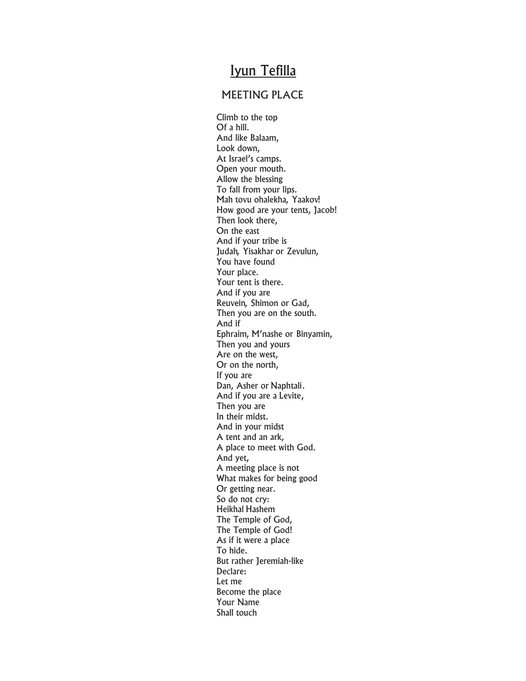## Iyun Tefilla

## MEETING PLACE

Climb to the top Of a hill. And like Balaam, Look down, At Israel's camps. Open your mouth. Allow the blessing To fall from your lips. Mah tovu ohalekha, Yaakov! How good are your tents, Jacob! Then look there, On the east And if your tribe is Judah, Yisakhar or Zevulun, You have found Your place. Your tent is there. And if you are Reuvein, Shimon or Gad, Then you are on the south. And if Ephraim, M'nashe or Binyamin, Then you and yours Are on the west, Or on the north, If you are Dan, Asher or Naphtali. And if you are a Levite, Then you are In their midst. And in your midst A tent and an ark, A place to meet with God. And yet, A meeting place is not What makes for being good Or getting near. So do not cry: Heikhal Hashem The Temple of God, The Temple of God! As if it were a place To hide. But rather Jeremiah-like Declare: Let me Become the place Your Name Shall touch